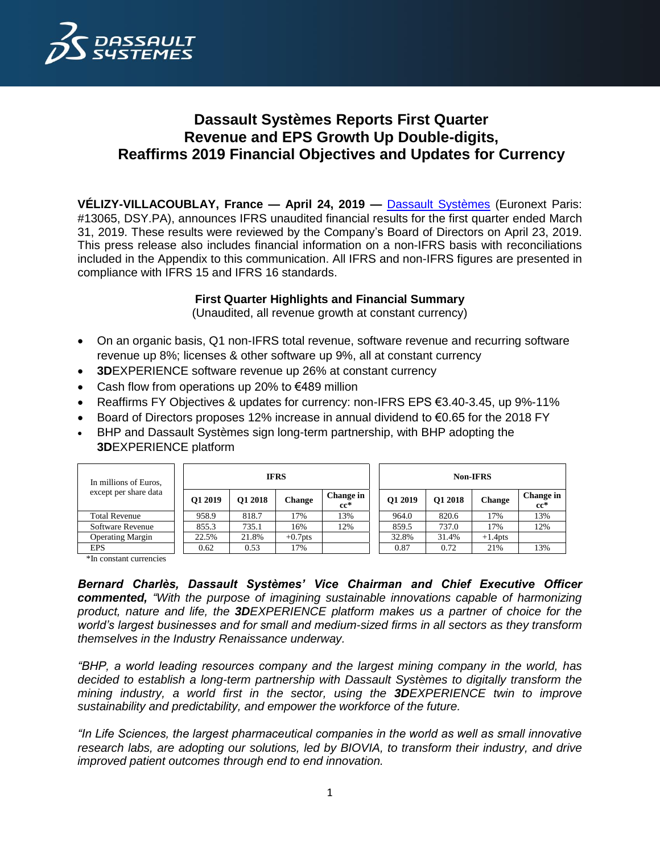

# **Dassault Systèmes Reports First Quarter Revenue and EPS Growth Up Double-digits, Reaffirms 2019 Financial Objectives and Updates for Currency**

**VÉLIZY-VILLACOUBLAY, France — April 24, 2019 —** [Dassault Systèmes](http://www.3ds.com/) (Euronext Paris: #13065, DSY.PA), announces IFRS unaudited financial results for the first quarter ended March 31, 2019. These results were reviewed by the Company's Board of Directors on April 23, 2019. This press release also includes financial information on a non-IFRS basis with reconciliations included in the Appendix to this communication. All IFRS and non-IFRS figures are presented in compliance with IFRS 15 and IFRS 16 standards.

## **First Quarter Highlights and Financial Summary**

(Unaudited, all revenue growth at constant currency)

- On an organic basis, Q1 non-IFRS total revenue, software revenue and recurring software revenue up 8%; licenses & other software up 9%, all at constant currency
- **3D**EXPERIENCE software revenue up 26% at constant currency
- Cash flow from operations up 20% to €489 million
- Reaffirms FY Objectives & updates for currency: non-IFRS EPS €3.40-3.45, up 9%-11%
- Board of Directors proposes 12% increase in annual dividend to €0.65 for the 2018 FY
- BHP and Dassault Systèmes sign long-term partnership, with BHP adopting the **3D**EXPERIENCE platform

| In millions of Euros,   |         |         | <b>IFRS</b>   |                     |         |         | Non-IFRS   |                     |
|-------------------------|---------|---------|---------------|---------------------|---------|---------|------------|---------------------|
| except per share data   | O1 2019 | O1 2018 | <b>Change</b> | Change in<br>$cc^*$ | O1 2019 | O1 2018 | Change     | Change in<br>$cc^*$ |
| <b>Total Revenue</b>    | 958.9   | 818.7   | 17%           | 13%                 | 964.0   | 820.6   | 17%        | 13%                 |
| Software Revenue        | 855.3   | 735.1   | 16%           | 12%                 | 859.5   | 737.0   | 17%        | 12%                 |
| <b>Operating Margin</b> | 22.5%   | 21.8%   | $+0.7$ pts    |                     | 32.8%   | 31.4%   | $+1.4$ pts |                     |
| <b>EPS</b>              | 0.62    | 0.53    | 17%           |                     | 0.87    | 0.72    | 21%        | 13%                 |

\*In constant currencies

*Bernard Charlès, Dassault Systèmes' Vice Chairman and Chief Executive Officer commented, "With the purpose of imagining sustainable innovations capable of harmonizing product, nature and life, the 3DEXPERIENCE platform makes us a partner of choice for the world's largest businesses and for small and medium-sized firms in all sectors as they transform themselves in the Industry Renaissance underway.* 

*"BHP, a world leading resources company and the largest mining company in the world, has decided to establish a long-term partnership with Dassault Systèmes to digitally transform the mining industry, a world first in the sector, using the 3DEXPERIENCE twin to improve sustainability and predictability, and empower the workforce of the future.* 

*"In Life Sciences, the largest pharmaceutical companies in the world as well as small innovative research labs, are adopting our solutions, led by BIOVIA, to transform their industry, and drive improved patient outcomes through end to end innovation.*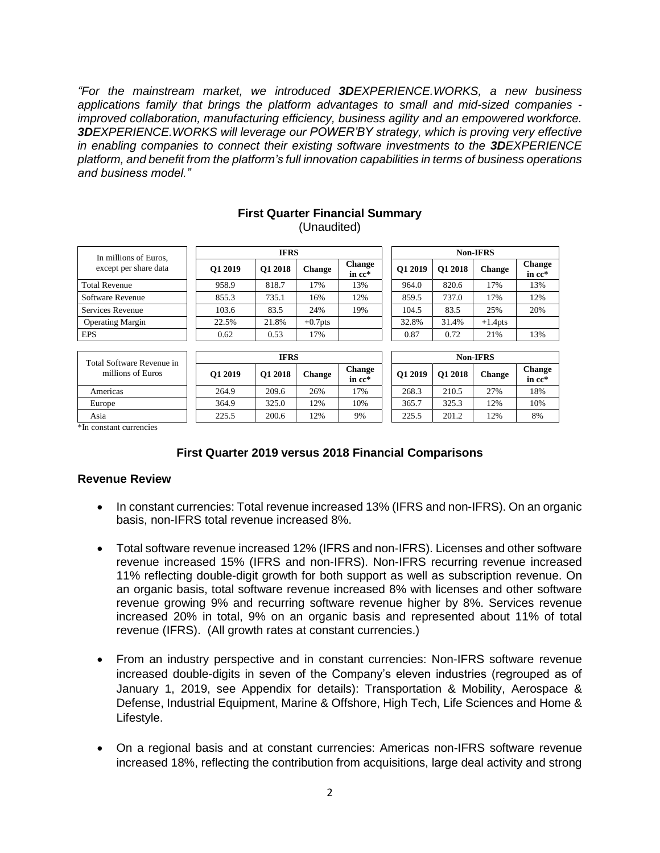*"For the mainstream market, we introduced 3DEXPERIENCE.WORKS, a new business applications family that brings the platform advantages to small and mid-sized companies improved collaboration, manufacturing efficiency, business agility and an empowered workforce. 3DEXPERIENCE.WORKS will leverage our POWER'BY strategy, which is proving very effective in enabling companies to connect their existing software investments to the 3DEXPERIENCE platform, and benefit from the platform's full innovation capabilities in terms of business operations and business model."*

| In millions of Euros,     | <b>IFRS</b>     |             |            |                         |         |                | <b>Non-IFRS</b> |                         |
|---------------------------|-----------------|-------------|------------|-------------------------|---------|----------------|-----------------|-------------------------|
| except per share data     | O1 2019         | O1 2018     | Change     | <b>Change</b><br>in cc* | O1 2019 | <b>O1 2018</b> | <b>Change</b>   | <b>Change</b><br>in cc* |
| <b>Total Revenue</b>      | 958.9           | 818.7       | 17%        | 13%                     | 964.0   | 820.6          | 17%             | 13%                     |
| Software Revenue          | 855.3           | 735.1       | 16%        | 12%                     | 859.5   | 737.0          | 17%             | 12%                     |
| Services Revenue          | 103.6           | 83.5        | 24%        | 19%                     | 104.5   | 83.5           | 25%             | 20%                     |
| <b>Operating Margin</b>   | 22.5%           | 21.8%       | $+0.7$ pts |                         | 32.8%   | 31.4%          | $+1.4$ pts      |                         |
| <b>EPS</b>                | 0.62            | 0.53        | 17%        |                         | 0.87    | 0.72           | 21%             | 13%                     |
|                           |                 |             |            |                         |         |                |                 |                         |
| Total Software Revenue in |                 | <b>IFRS</b> |            |                         |         |                | <b>Non-IFRS</b> |                         |
| millions of Euros         | $\Omega$ 1 2019 | O1 2018     | Change     | <b>Change</b>           | O1 2019 | O1 2018        | <b>Change</b>   | <b>Change</b>           |

### **First Quarter Financial Summary** (Unaudited)

| Total Software Revenue in |         | <b>Non-IFRS</b> |               |                         |         |         |               |                         |
|---------------------------|---------|-----------------|---------------|-------------------------|---------|---------|---------------|-------------------------|
| millions of Euros         | O1 2019 | O1 2018         | <b>Change</b> | <b>Change</b><br>in cc* | O1 2019 | O1 2018 | <b>Change</b> | <b>Change</b><br>in cc* |
| Americas                  | 264.9   | 209.6           | 26%           | 17%                     | 268.3   | 210.5   | 27%           | 18%                     |
| Europe                    | 364.9   | 325.0           | 2%            | 10%                     | 365.7   | 325.3   | 12%           | 10%                     |
| Asia                      | 225.5   | 200.6           | 2%            | 9%                      | 225.5   | 201.2   | 12%           | 8%                      |

\*In constant currencies

### **First Quarter 2019 versus 2018 Financial Comparisons**

### **Revenue Review**

- In constant currencies: Total revenue increased 13% (IFRS and non-IFRS). On an organic basis, non-IFRS total revenue increased 8%.
- Total software revenue increased 12% (IFRS and non-IFRS). Licenses and other software revenue increased 15% (IFRS and non-IFRS). Non-IFRS recurring revenue increased 11% reflecting double-digit growth for both support as well as subscription revenue. On an organic basis, total software revenue increased 8% with licenses and other software revenue growing 9% and recurring software revenue higher by 8%. Services revenue increased 20% in total, 9% on an organic basis and represented about 11% of total revenue (IFRS). (All growth rates at constant currencies.)
- From an industry perspective and in constant currencies: Non-IFRS software revenue increased double-digits in seven of the Company's eleven industries (regrouped as of January 1, 2019, see Appendix for details): Transportation & Mobility, Aerospace & Defense, Industrial Equipment, Marine & Offshore, High Tech, Life Sciences and Home & Lifestyle.
- On a regional basis and at constant currencies: Americas non-IFRS software revenue increased 18%, reflecting the contribution from acquisitions, large deal activity and strong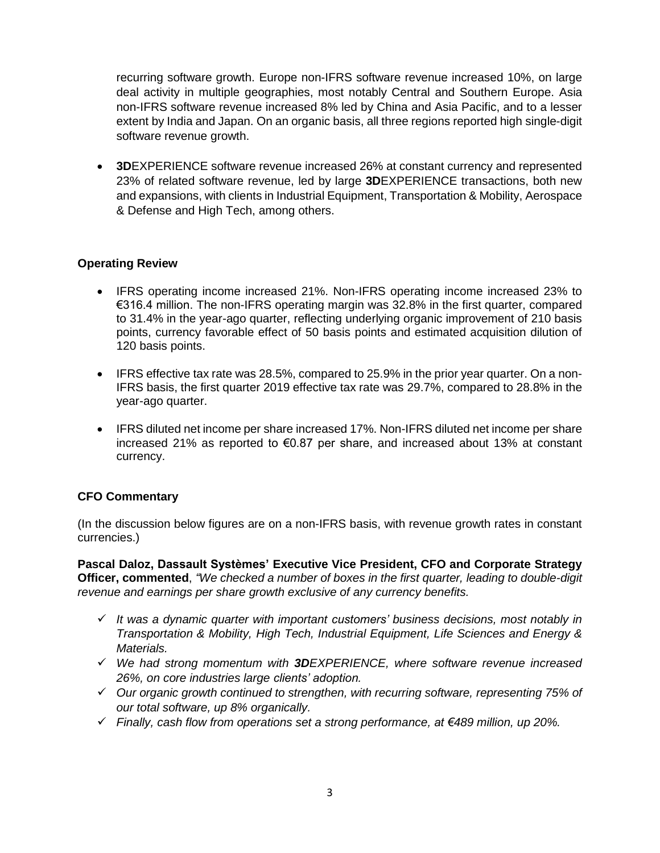recurring software growth. Europe non-IFRS software revenue increased 10%, on large deal activity in multiple geographies, most notably Central and Southern Europe. Asia non-IFRS software revenue increased 8% led by China and Asia Pacific, and to a lesser extent by India and Japan. On an organic basis, all three regions reported high single-digit software revenue growth.

 **3D**EXPERIENCE software revenue increased 26% at constant currency and represented 23% of related software revenue, led by large **3D**EXPERIENCE transactions, both new and expansions, with clients in Industrial Equipment, Transportation & Mobility, Aerospace & Defense and High Tech, among others.

## **Operating Review**

- IFRS operating income increased 21%. Non-IFRS operating income increased 23% to €316.4 million. The non-IFRS operating margin was 32.8% in the first quarter, compared to 31.4% in the year-ago quarter, reflecting underlying organic improvement of 210 basis points, currency favorable effect of 50 basis points and estimated acquisition dilution of 120 basis points.
- $\bullet$  IFRS effective tax rate was 28.5%, compared to 25.9% in the prior year quarter. On a non-IFRS basis, the first quarter 2019 effective tax rate was 29.7%, compared to 28.8% in the year-ago quarter.
- IFRS diluted net income per share increased 17%. Non-IFRS diluted net income per share increased 21% as reported to €0.87 per share, and increased about 13% at constant currency.

# **CFO Commentary**

(In the discussion below figures are on a non-IFRS basis, with revenue growth rates in constant currencies.)

**Pascal Daloz, Dassault Systèmes' Executive Vice President, CFO and Corporate Strategy Officer, commented**, *"We checked a number of boxes in the first quarter, leading to double-digit revenue and earnings per share growth exclusive of any currency benefits.*

- *It was a dynamic quarter with important customers' business decisions, most notably in Transportation & Mobility, High Tech, Industrial Equipment, Life Sciences and Energy & Materials.*
- *We had strong momentum with 3DEXPERIENCE, where software revenue increased 26%, on core industries large clients' adoption.*
- *Our organic growth continued to strengthen, with recurring software, representing 75% of our total software, up 8% organically.*
- *Finally, cash flow from operations set a strong performance, at €489 million, up 20%.*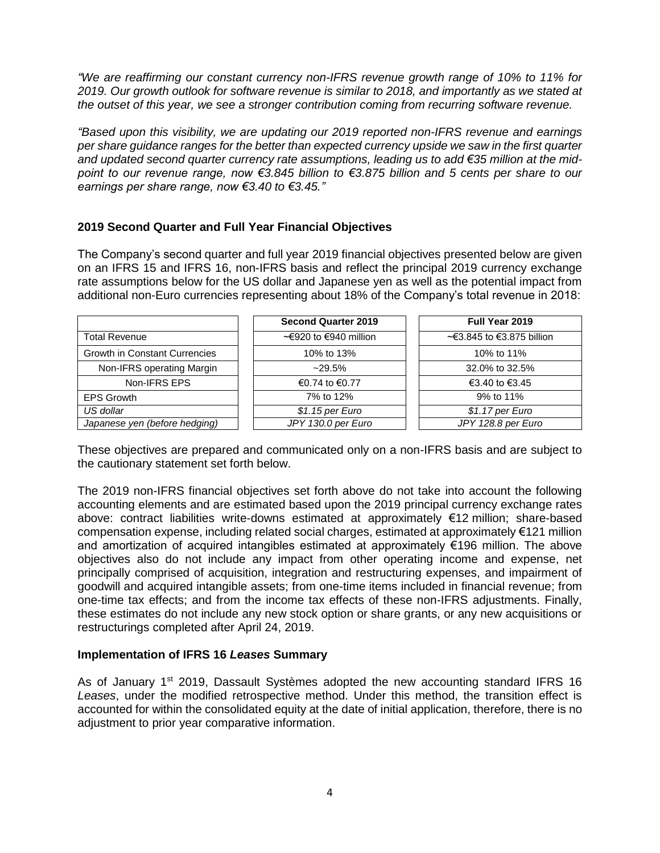*"We are reaffirming our constant currency non-IFRS revenue growth range of 10% to 11% for 2019. Our growth outlook for software revenue is similar to 2018, and importantly as we stated at the outset of this year, we see a stronger contribution coming from recurring software revenue.*

*"Based upon this visibility, we are updating our 2019 reported non-IFRS revenue and earnings per share guidance ranges for the better than expected currency upside we saw in the first quarter and updated second quarter currency rate assumptions, leading us to add €35 million at the midpoint to our revenue range, now €3.845 billion to €3.875 billion and 5 cents per share to our earnings per share range, now €3.40 to €3.45."*

## **2019 Second Quarter and Full Year Financial Objectives**

The Company's second quarter and full year 2019 financial objectives presented below are given on an IFRS 15 and IFRS 16, non-IFRS basis and reflect the principal 2019 currency exchange rate assumptions below for the US dollar and Japanese yen as well as the potential impact from additional non-Euro currencies representing about 18% of the Company's total revenue in 2018:

|                               | <b>Second Quarter 2019</b>   | Full Year 2019                   |
|-------------------------------|------------------------------|----------------------------------|
| <b>Total Revenue</b>          | $~\sim$ €920 to €940 million | $~\sim$ €3.845 to €3.875 billion |
| Growth in Constant Currencies | 10% to 13%                   | 10% to 11%                       |
| Non-IFRS operating Margin     | $~29.5\%$                    | 32.0% to 32.5%                   |
| Non-IFRS EPS                  | €0.74 to €0.77               | €3.40 to €3.45                   |
| <b>EPS Growth</b>             | 7% to 12%                    | 9% to 11%                        |
| US dollar                     | $$1.15$ per Euro             | \$1.17 per Euro                  |
| Japanese yen (before hedging) | JPY 130.0 per Euro           | JPY 128.8 per Euro               |

These objectives are prepared and communicated only on a non-IFRS basis and are subject to the cautionary statement set forth below.

The 2019 non-IFRS financial objectives set forth above do not take into account the following accounting elements and are estimated based upon the 2019 principal currency exchange rates above: contract liabilities write-downs estimated at approximately €12 million; share-based compensation expense, including related social charges, estimated at approximately €121 million and amortization of acquired intangibles estimated at approximately €196 million. The above objectives also do not include any impact from other operating income and expense, net principally comprised of acquisition, integration and restructuring expenses, and impairment of goodwill and acquired intangible assets; from one-time items included in financial revenue; from one-time tax effects; and from the income tax effects of these non-IFRS adjustments. Finally, these estimates do not include any new stock option or share grants, or any new acquisitions or restructurings completed after April 24, 2019.

## **Implementation of IFRS 16** *Leases* **Summary**

As of January 1<sup>st</sup> 2019, Dassault Systèmes adopted the new accounting standard IFRS 16 *Leases*, under the modified retrospective method. Under this method, the transition effect is accounted for within the consolidated equity at the date of initial application, therefore, there is no adjustment to prior year comparative information.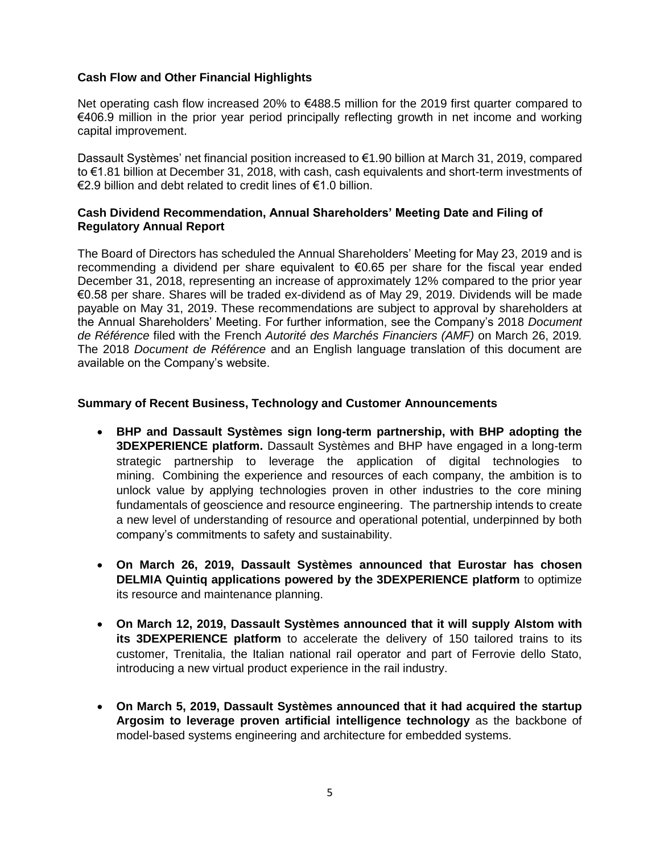## **Cash Flow and Other Financial Highlights**

Net operating cash flow increased 20% to €488.5 million for the 2019 first quarter compared to €406.9 million in the prior year period principally reflecting growth in net income and working capital improvement.

Dassault Systèmes' net financial position increased to €1.90 billion at March 31, 2019, compared to €1.81 billion at December 31, 2018, with cash, cash equivalents and short-term investments of €2.9 billion and debt related to credit lines of €1.0 billion.

### **Cash Dividend Recommendation, Annual Shareholders' Meeting Date and Filing of Regulatory Annual Report**

The Board of Directors has scheduled the Annual Shareholders' Meeting for May 23, 2019 and is recommending a dividend per share equivalent to €0.65 per share for the fiscal year ended December 31, 2018, representing an increase of approximately 12% compared to the prior year €0.58 per share. Shares will be traded ex-dividend as of May 29, 2019. Dividends will be made payable on May 31, 2019. These recommendations are subject to approval by shareholders at the Annual Shareholders' Meeting. For further information, see the Company's 2018 *Document de Référence* filed with the French *Autorité des Marchés Financiers (AMF)* on March 26, 2019*.* The 2018 *Document de Référence* and an English language translation of this document are available on the Company's website.

## **Summary of Recent Business, Technology and Customer Announcements**

- **BHP and Dassault Systèmes sign long-term partnership, with BHP adopting the 3DEXPERIENCE platform.** Dassault Systèmes and BHP have engaged in a long-term strategic partnership to leverage the application of digital technologies to mining. Combining the experience and resources of each company, the ambition is to unlock value by applying technologies proven in other industries to the core mining fundamentals of geoscience and resource engineering. The partnership intends to create a new level of understanding of resource and operational potential, underpinned by both company's commitments to safety and sustainability.
- **On March 26, 2019, Dassault Systèmes announced that Eurostar has chosen DELMIA Quintiq applications powered by the 3DEXPERIENCE platform** to optimize its resource and maintenance planning.
- **On March 12, 2019, Dassault Systèmes announced that it will supply Alstom with its 3DEXPERIENCE platform** to accelerate the delivery of 150 tailored trains to its customer, Trenitalia, the Italian national rail operator and part of Ferrovie dello Stato, introducing a new virtual product experience in the rail industry.
- **On March 5, 2019, Dassault Systèmes announced that it had acquired the startup Argosim to leverage proven artificial intelligence technology** as the backbone of model-based systems engineering and architecture for embedded systems.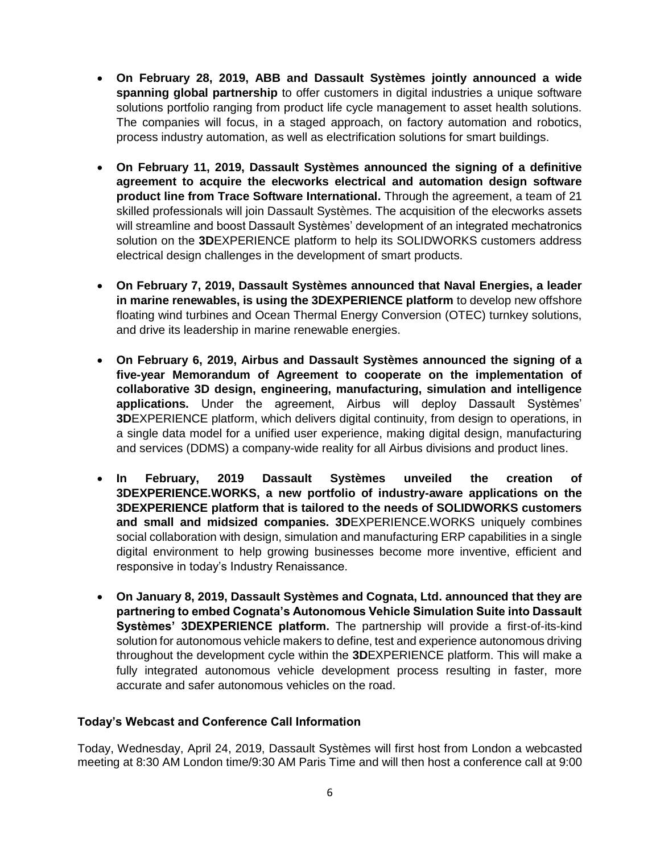- **On February 28, 2019, ABB and Dassault Systèmes jointly announced a wide spanning global partnership** to offer customers in digital industries a unique software solutions portfolio ranging from product life cycle management to asset health solutions. The companies will focus, in a staged approach, on factory automation and robotics, process industry automation, as well as electrification solutions for smart buildings.
- **On February 11, 2019, Dassault Systèmes announced the signing of a definitive agreement to acquire the elecworks electrical and automation design software product line from Trace Software International.** Through the agreement, a team of 21 skilled professionals will join Dassault Systèmes. The acquisition of the elecworks assets will streamline and boost Dassault Systèmes' development of an integrated mechatronics solution on the **3D**EXPERIENCE platform to help its SOLIDWORKS customers address electrical design challenges in the development of smart products.
- **On February 7, 2019, Dassault Systèmes announced that Naval Energies, a leader in marine renewables, is using the 3DEXPERIENCE platform** to develop new offshore floating wind turbines and Ocean Thermal Energy Conversion (OTEC) turnkey solutions, and drive its leadership in marine renewable energies.
- **On February 6, 2019, Airbus and Dassault Systèmes announced the signing of a five-year Memorandum of Agreement to cooperate on the implementation of collaborative 3D design, engineering, manufacturing, simulation and intelligence applications.** Under the agreement, Airbus will deploy Dassault Systèmes' **3D**EXPERIENCE platform, which delivers digital continuity, from design to operations, in a single data model for a unified user experience, making digital design, manufacturing and services (DDMS) a company-wide reality for all Airbus divisions and product lines.
- **In February, 2019 Dassault Systèmes unveiled the creation of 3DEXPERIENCE.WORKS, a new portfolio of industry-aware applications on the 3DEXPERIENCE platform that is tailored to the needs of SOLIDWORKS customers and small and midsized companies. 3D**EXPERIENCE.WORKS uniquely combines social collaboration with design, simulation and manufacturing ERP capabilities in a single digital environment to help growing businesses become more inventive, efficient and responsive in today's Industry Renaissance.
- **On January 8, 2019, Dassault Systèmes and Cognata, Ltd. announced that they are partnering to embed Cognata's Autonomous Vehicle Simulation Suite into Dassault Systèmes' 3DEXPERIENCE platform.** The partnership will provide a first-of-its-kind solution for autonomous vehicle makers to define, test and experience autonomous driving throughout the development cycle within the **3D**EXPERIENCE platform. This will make a fully integrated autonomous vehicle development process resulting in faster, more accurate and safer autonomous vehicles on the road.

## **Today's Webcast and Conference Call Information**

Today, Wednesday, April 24, 2019, Dassault Systèmes will first host from London a webcasted meeting at 8:30 AM London time/9:30 AM Paris Time and will then host a conference call at 9:00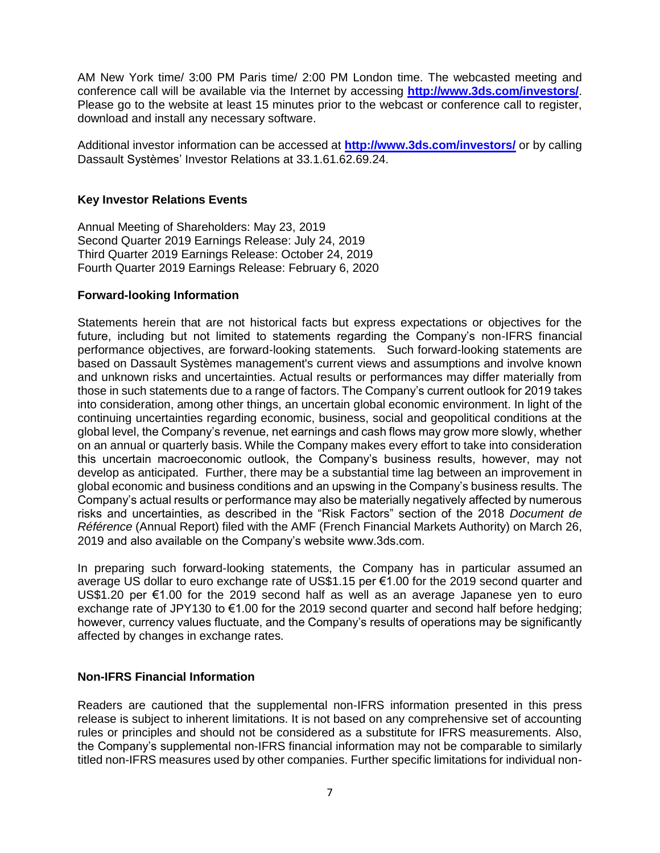AM New York time/ 3:00 PM Paris time/ 2:00 PM London time. The webcasted meeting and conference call will be available via the Internet by accessing **<http://www.3ds.com/investors/>**. Please go to the website at least 15 minutes prior to the webcast or conference call to register, download and install any necessary software.

Additional investor information can be accessed at **<http://www.3ds.com/investors/>** or by calling Dassault Systèmes' Investor Relations at 33.1.61.62.69.24.

### **Key Investor Relations Events**

Annual Meeting of Shareholders: May 23, 2019 Second Quarter 2019 Earnings Release: July 24, 2019 Third Quarter 2019 Earnings Release: October 24, 2019 Fourth Quarter 2019 Earnings Release: February 6, 2020

### **Forward-looking Information**

Statements herein that are not historical facts but express expectations or objectives for the future, including but not limited to statements regarding the Company's non-IFRS financial performance objectives, are forward-looking statements. Such forward-looking statements are based on Dassault Systèmes management's current views and assumptions and involve known and unknown risks and uncertainties. Actual results or performances may differ materially from those in such statements due to a range of factors. The Company's current outlook for 2019 takes into consideration, among other things, an uncertain global economic environment. In light of the continuing uncertainties regarding economic, business, social and geopolitical conditions at the global level, the Company's revenue, net earnings and cash flows may grow more slowly, whether on an annual or quarterly basis. While the Company makes every effort to take into consideration this uncertain macroeconomic outlook, the Company's business results, however, may not develop as anticipated. Further, there may be a substantial time lag between an improvement in global economic and business conditions and an upswing in the Company's business results. The Company's actual results or performance may also be materially negatively affected by numerous risks and uncertainties, as described in the "Risk Factors" section of the 2018 *Document de Référence* (Annual Report) filed with the AMF (French Financial Markets Authority) on March 26, 2019 and also available on the Company's website www.3ds.com.

In preparing such forward-looking statements, the Company has in particular assumed an average US dollar to euro exchange rate of US\$1.15 per €1.00 for the 2019 second quarter and US\$1.20 per €1.00 for the 2019 second half as well as an average Japanese yen to euro exchange rate of JPY130 to €1.00 for the 2019 second quarter and second half before hedging; however, currency values fluctuate, and the Company's results of operations may be significantly affected by changes in exchange rates.

## **Non-IFRS Financial Information**

Readers are cautioned that the supplemental non-IFRS information presented in this press release is subject to inherent limitations. It is not based on any comprehensive set of accounting rules or principles and should not be considered as a substitute for IFRS measurements. Also, the Company's supplemental non-IFRS financial information may not be comparable to similarly titled non-IFRS measures used by other companies. Further specific limitations for individual non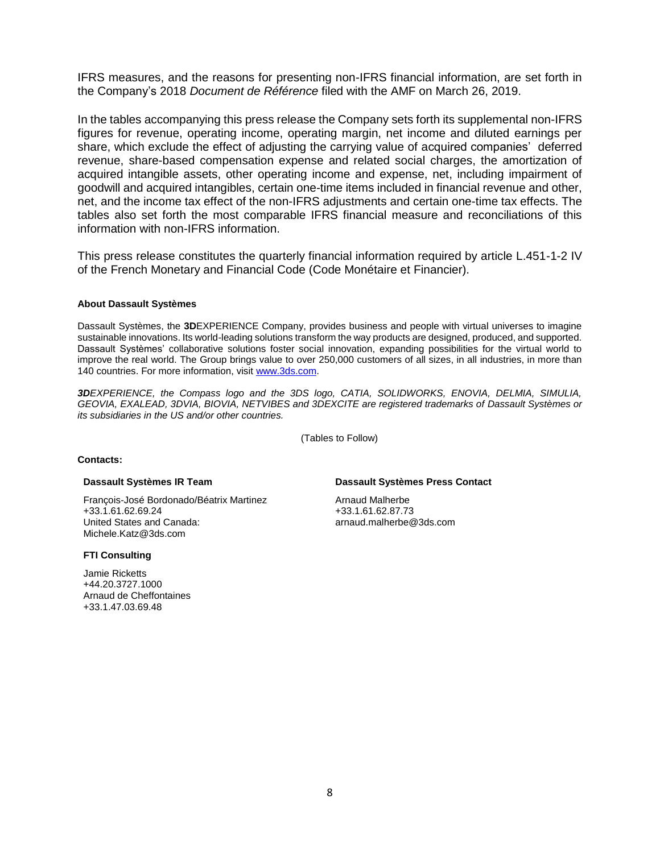IFRS measures, and the reasons for presenting non-IFRS financial information, are set forth in the Company's 2018 *Document de Référence* filed with the AMF on March 26, 2019.

In the tables accompanying this press release the Company sets forth its supplemental non-IFRS figures for revenue, operating income, operating margin, net income and diluted earnings per share, which exclude the effect of adjusting the carrying value of acquired companies' deferred revenue, share-based compensation expense and related social charges, the amortization of acquired intangible assets, other operating income and expense, net, including impairment of goodwill and acquired intangibles, certain one-time items included in financial revenue and other, net, and the income tax effect of the non-IFRS adjustments and certain one-time tax effects. The tables also set forth the most comparable IFRS financial measure and reconciliations of this information with non-IFRS information.

This press release constitutes the quarterly financial information required by article L.451-1-2 IV of the French Monetary and Financial Code (Code Monétaire et Financier).

### **About Dassault Systèmes**

Dassault Systèmes, the **3D**EXPERIENCE Company, provides business and people with virtual universes to imagine sustainable innovations. Its world-leading solutions transform the way products are designed, produced, and supported. Dassault Systèmes' collaborative solutions foster social innovation, expanding possibilities for the virtual world to improve the real world. The Group brings value to over 250,000 customers of all sizes, in all industries, in more than 140 countries. For more information, visi[t www.3ds.com.](http://www.3ds.com/)

*3DEXPERIENCE, the Compass logo and the 3DS logo, CATIA, SOLIDWORKS, ENOVIA, DELMIA, SIMULIA, GEOVIA, EXALEAD, 3DVIA, BIOVIA, NETVIBES and 3DEXCITE are registered trademarks of Dassault Systèmes or its subsidiaries in the US and/or other countries.*

(Tables to Follow)

### **Contacts:**

François-José Bordonado/Béatrix Martinez +33.1.61.62.69.24 United States and Canada: Michele.Katz@3ds.com

### **FTI Consulting**

Jamie Ricketts +44.20.3727.1000 Arnaud de Cheffontaines +33.1.47.03.69.48

### **Dassault Systèmes IR Team Dassault Systèmes Press Contact**

Arnaud Malherbe +33.1.61.62.87.73 arnaud.malherbe@3ds.com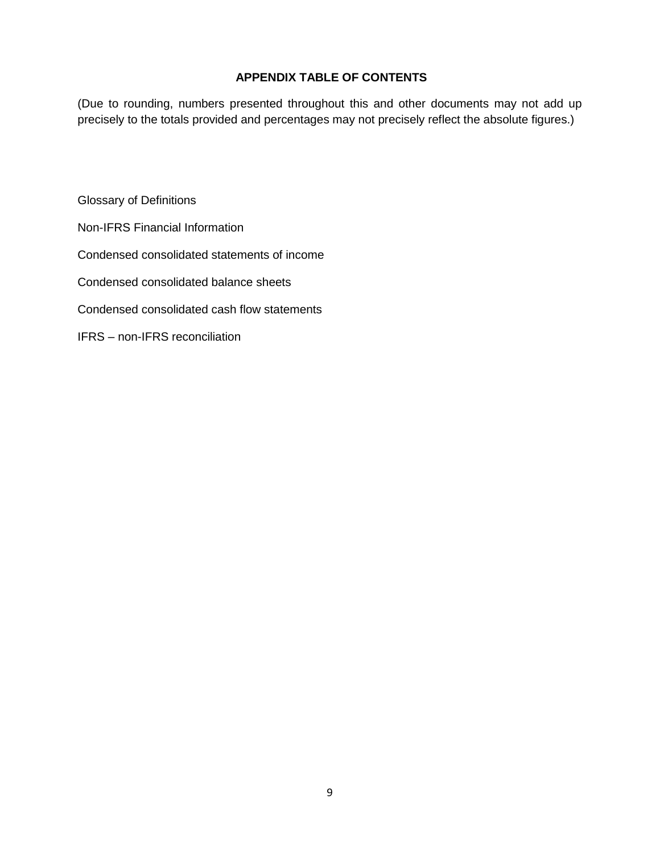# **APPENDIX TABLE OF CONTENTS**

(Due to rounding, numbers presented throughout this and other documents may not add up precisely to the totals provided and percentages may not precisely reflect the absolute figures.)

Glossary of Definitions Non-IFRS Financial Information Condensed consolidated statements of income Condensed consolidated balance sheets Condensed consolidated cash flow statements IFRS – non-IFRS reconciliation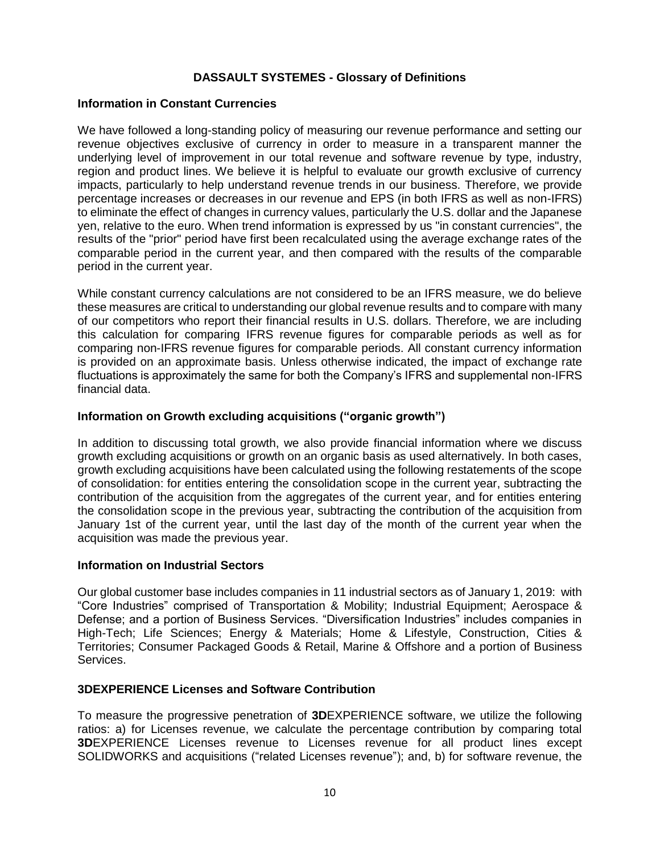## **DASSAULT SYSTEMES - Glossary of Definitions**

### **Information in Constant Currencies**

We have followed a long-standing policy of measuring our revenue performance and setting our revenue objectives exclusive of currency in order to measure in a transparent manner the underlying level of improvement in our total revenue and software revenue by type, industry, region and product lines. We believe it is helpful to evaluate our growth exclusive of currency impacts, particularly to help understand revenue trends in our business. Therefore, we provide percentage increases or decreases in our revenue and EPS (in both IFRS as well as non-IFRS) to eliminate the effect of changes in currency values, particularly the U.S. dollar and the Japanese yen, relative to the euro. When trend information is expressed by us "in constant currencies", the results of the "prior" period have first been recalculated using the average exchange rates of the comparable period in the current year, and then compared with the results of the comparable period in the current year.

While constant currency calculations are not considered to be an IFRS measure, we do believe these measures are critical to understanding our global revenue results and to compare with many of our competitors who report their financial results in U.S. dollars. Therefore, we are including this calculation for comparing IFRS revenue figures for comparable periods as well as for comparing non-IFRS revenue figures for comparable periods. All constant currency information is provided on an approximate basis. Unless otherwise indicated, the impact of exchange rate fluctuations is approximately the same for both the Company's IFRS and supplemental non-IFRS financial data.

## **Information on Growth excluding acquisitions ("organic growth")**

In addition to discussing total growth, we also provide financial information where we discuss growth excluding acquisitions or growth on an organic basis as used alternatively. In both cases, growth excluding acquisitions have been calculated using the following restatements of the scope of consolidation: for entities entering the consolidation scope in the current year, subtracting the contribution of the acquisition from the aggregates of the current year, and for entities entering the consolidation scope in the previous year, subtracting the contribution of the acquisition from January 1st of the current year, until the last day of the month of the current year when the acquisition was made the previous year.

### **Information on Industrial Sectors**

Our global customer base includes companies in 11 industrial sectors as of January 1, 2019: with "Core Industries" comprised of Transportation & Mobility; Industrial Equipment; Aerospace & Defense; and a portion of Business Services. "Diversification Industries" includes companies in High-Tech; Life Sciences; Energy & Materials; Home & Lifestyle, Construction, Cities & Territories; Consumer Packaged Goods & Retail, Marine & Offshore and a portion of Business Services.

## **3DEXPERIENCE Licenses and Software Contribution**

To measure the progressive penetration of **3D**EXPERIENCE software, we utilize the following ratios: a) for Licenses revenue, we calculate the percentage contribution by comparing total **3D**EXPERIENCE Licenses revenue to Licenses revenue for all product lines except SOLIDWORKS and acquisitions ("related Licenses revenue"); and, b) for software revenue, the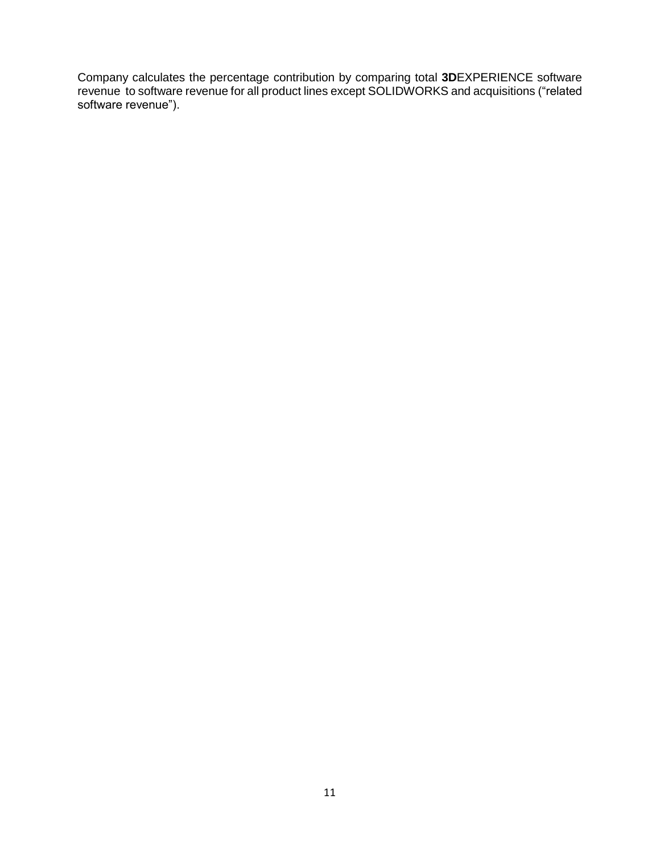Company calculates the percentage contribution by comparing total **3D**EXPERIENCE software revenue to software revenue for all product lines except SOLIDWORKS and acquisitions ("related software revenue").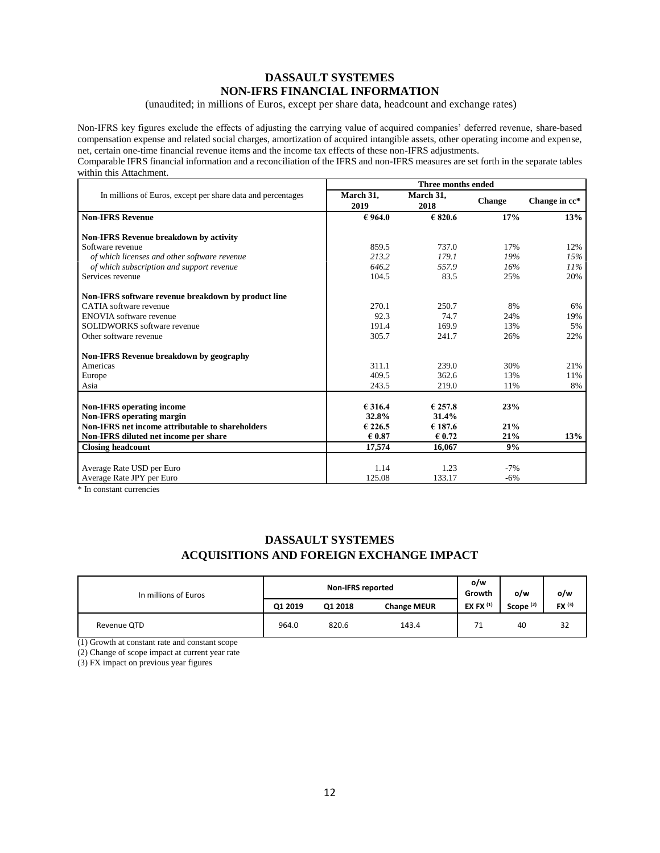## **DASSAULT SYSTEMES NON-IFRS FINANCIAL INFORMATION**

(unaudited; in millions of Euros, except per share data, headcount and exchange rates)

Non-IFRS key figures exclude the effects of adjusting the carrying value of acquired companies' deferred revenue, share-based compensation expense and related social charges, amortization of acquired intangible assets, other operating income and expense, net, certain one-time financial revenue items and the income tax effects of these non-IFRS adjustments.

Comparable IFRS financial information and a reconciliation of the IFRS and non-IFRS measures are set forth in the separate tables within this Attachment.

|                                                             | Three months ended |                   |               |               |  |  |  |  |
|-------------------------------------------------------------|--------------------|-------------------|---------------|---------------|--|--|--|--|
| In millions of Euros, except per share data and percentages | March 31.<br>2019  | March 31,<br>2018 | <b>Change</b> | Change in cc* |  |  |  |  |
| <b>Non-IFRS Revenue</b>                                     | € 964.0            | € 820.6           | 17%           | 13%           |  |  |  |  |
|                                                             |                    |                   |               |               |  |  |  |  |
| <b>Non-IFRS Revenue breakdown by activity</b>               |                    |                   |               |               |  |  |  |  |
| Software revenue                                            | 859.5              | 737.0             | 17%           | 12%           |  |  |  |  |
| of which licenses and other software revenue                | 213.2              | 179.1             | 19%           | 15%           |  |  |  |  |
| of which subscription and support revenue                   | 646.2              | 557.9             | 16%           | 11%           |  |  |  |  |
| Services revenue                                            | 104.5              | 83.5              | 25%           | 20%           |  |  |  |  |
| Non-IFRS software revenue breakdown by product line         |                    |                   |               |               |  |  |  |  |
| CATIA software revenue                                      | 270.1              | 250.7             | 8%            | 6%            |  |  |  |  |
| <b>ENOVIA</b> software revenue                              | 92.3               | 74.7              | 24%           | 19%           |  |  |  |  |
| <b>SOLIDWORKS</b> software revenue                          | 191.4              | 169.9             | 13%           | 5%            |  |  |  |  |
| Other software revenue                                      | 305.7              | 241.7             | 26%           | 22%           |  |  |  |  |
| Non-IFRS Revenue breakdown by geography                     |                    |                   |               |               |  |  |  |  |
| Americas                                                    | 311.1              | 239.0             | 30%           | 21%           |  |  |  |  |
| Europe                                                      | 409.5              | 362.6             | 13%           | 11%           |  |  |  |  |
|                                                             |                    |                   |               |               |  |  |  |  |
| Asia                                                        | 243.5              | 219.0             | 11%           | 8%            |  |  |  |  |
| <b>Non-IFRS</b> operating income                            | € 316.4            | €257.8            | 23%           |               |  |  |  |  |
| <b>Non-IFRS</b> operating margin                            | 32.8%              | 31.4%             |               |               |  |  |  |  |
| Non-IFRS net income attributable to shareholders            | € 226.5            | € 187.6           | 21%           |               |  |  |  |  |
| Non-IFRS diluted net income per share                       | $\epsilon$ 0.87    | $\epsilon$ 0.72   | 21%           | 13%           |  |  |  |  |
| <b>Closing headcount</b>                                    | 17,574             | 16,067            | 9%            |               |  |  |  |  |
|                                                             |                    |                   |               |               |  |  |  |  |
| Average Rate USD per Euro                                   | 1.14               | 1.23              | $-7%$         |               |  |  |  |  |
| Average Rate JPY per Euro                                   | 125.08             | 133.17            | $-6\%$        |               |  |  |  |  |
| $+T$                                                        |                    |                   |               |               |  |  |  |  |

\* In constant currencies

# **DASSAULT SYSTEMES ACQUISITIONS AND FOREIGN EXCHANGE IMPACT**

| In millions of Euros |         | <b>Non-IFRS reported</b> | o/w<br>Growth      | o/w         | o/w         |                     |
|----------------------|---------|--------------------------|--------------------|-------------|-------------|---------------------|
|                      | Q1 2019 | Q1 2018                  | <b>Change MEUR</b> | EX FX $(1)$ | Scope $(2)$ | $FX$ <sup>(3)</sup> |
| Revenue QTD          | 964.0   | 820.6                    | 143.4              | 71          | 40          | 32                  |

(1) Growth at constant rate and constant scope

(2) Change of scope impact at current year rate

(3) FX impact on previous year figures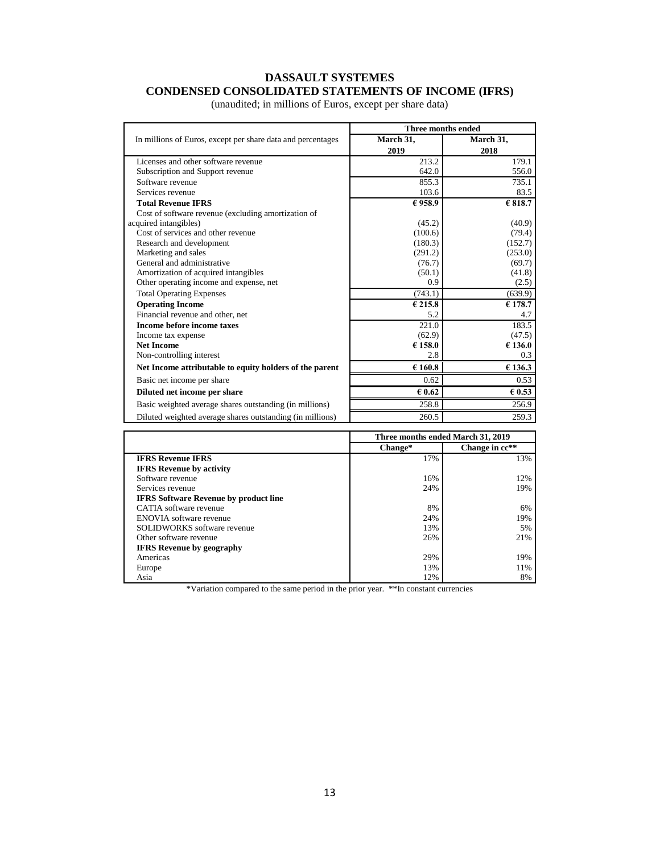# **DASSAULT SYSTEMES CONDENSED CONSOLIDATED STATEMENTS OF INCOME (IFRS)**

(unaudited; in millions of Euros, except per share data)

|                                                             | Three months ended              |                      |
|-------------------------------------------------------------|---------------------------------|----------------------|
| In millions of Euros, except per share data and percentages | March 31,                       | March 31,            |
|                                                             | 2019                            | 2018                 |
| Licenses and other software revenue                         | 213.2                           | 179.1                |
| Subscription and Support revenue                            | 642.0                           | 556.0                |
| Software revenue                                            | 855.3                           | 735.1                |
| Services revenue                                            | 103.6                           | 83.5                 |
| <b>Total Revenue IFRS</b>                                   | €958.9                          | $\epsilon$ 818.7     |
| Cost of software revenue (excluding amortization of         |                                 |                      |
| acquired intangibles)                                       | (45.2)                          | (40.9)               |
| Cost of services and other revenue                          | (100.6)                         | (79.4)               |
| Research and development                                    | (180.3)                         | (152.7)              |
| Marketing and sales                                         | (291.2)                         | (253.0)              |
| General and administrative                                  | (76.7)                          | (69.7)               |
| Amortization of acquired intangibles                        | (50.1)                          | (41.8)               |
| Other operating income and expense, net                     | 0.9                             | (2.5)                |
| <b>Total Operating Expenses</b>                             | (743.1)                         | (639.9)              |
| <b>Operating Income</b>                                     | € 215.8                         | €178.7               |
| Financial revenue and other, net                            | 5.2                             | 4.7                  |
| Income before income taxes                                  | 221.0                           | 183.5                |
| Income tax expense                                          | (62.9)                          | (47.5)               |
| <b>Net Income</b>                                           | € 158.0                         | €136.0               |
| Non-controlling interest                                    | 2.8                             | 0.3                  |
| Net Income attributable to equity holders of the parent     | €160.8                          | €136.3               |
| Basic net income per share                                  | 0.62                            | 0.53                 |
| Diluted net income per share                                | $\epsilon$ 0.62                 | $\epsilon$ 0.53      |
| Basic weighted average shares outstanding (in millions)     | 258.8                           | 256.9                |
| Diluted weighted average shares outstanding (in millions)   | 260.5                           | 259.3                |
|                                                             | m.<br>$\mathbf{A}$ $\mathbf{B}$ | 1.131.134.21.21.2040 |

|                                              | Three months ended March 31, 2019 |                |
|----------------------------------------------|-----------------------------------|----------------|
|                                              | Change*                           | Change in cc** |
| <b>IFRS Revenue IFRS</b>                     | 17%                               | 13%            |
| <b>IFRS</b> Revenue by activity              |                                   |                |
| Software revenue                             | 16%                               | 12%            |
| Services revenue                             | 24%                               | 19%            |
| <b>IFRS</b> Software Revenue by product line |                                   |                |
| CATIA software revenue                       | 8%                                | 6%             |
| <b>ENOVIA</b> software revenue               | 24%                               | 19%            |
| SOLIDWORKS software revenue                  | 13%                               | 5%             |
| Other software revenue                       | 26%                               | 21%            |
| <b>IFRS</b> Revenue by geography             |                                   |                |
| Americas                                     | 29%                               | 19%            |
| Europe                                       | 13%                               | 11%            |
| Asia                                         | 12%                               | 8%             |

\*Variation compared to the same period in the prior year. \*\*In constant currencies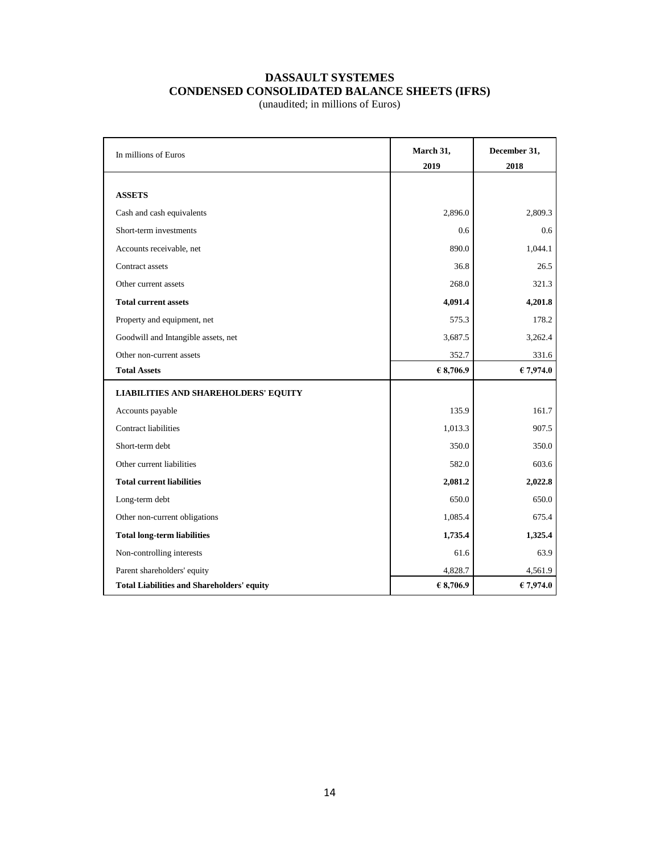# **DASSAULT SYSTEMES CONDENSED CONSOLIDATED BALANCE SHEETS (IFRS)**

(unaudited; in millions of Euros)

| In millions of Euros                              | March 31, | December 31, |  |  |
|---------------------------------------------------|-----------|--------------|--|--|
|                                                   | 2019      | 2018         |  |  |
|                                                   |           |              |  |  |
| <b>ASSETS</b>                                     |           |              |  |  |
| Cash and cash equivalents                         | 2,896.0   | 2,809.3      |  |  |
| Short-term investments                            | 0.6       | 0.6          |  |  |
| Accounts receivable, net                          | 890.0     | 1,044.1      |  |  |
| Contract assets                                   | 36.8      | 26.5         |  |  |
| Other current assets                              | 268.0     | 321.3        |  |  |
| <b>Total current assets</b>                       | 4,091.4   | 4,201.8      |  |  |
| Property and equipment, net                       | 575.3     | 178.2        |  |  |
| Goodwill and Intangible assets, net               | 3,687.5   | 3,262.4      |  |  |
| Other non-current assets                          | 352.7     | 331.6        |  |  |
| <b>Total Assets</b>                               | 68,706.9  | €7,974.0     |  |  |
| <b>LIABILITIES AND SHAREHOLDERS' EQUITY</b>       |           |              |  |  |
| Accounts payable                                  | 135.9     | 161.7        |  |  |
| <b>Contract liabilities</b>                       | 1,013.3   | 907.5        |  |  |
| Short-term debt                                   | 350.0     | 350.0        |  |  |
| Other current liabilities                         | 582.0     | 603.6        |  |  |
| <b>Total current liabilities</b>                  | 2,081.2   | 2,022.8      |  |  |
| Long-term debt                                    | 650.0     | 650.0        |  |  |
| Other non-current obligations                     | 1,085.4   | 675.4        |  |  |
| <b>Total long-term liabilities</b>                | 1,735.4   | 1,325.4      |  |  |
| Non-controlling interests                         | 61.6      | 63.9         |  |  |
| Parent shareholders' equity                       | 4,828.7   | 4,561.9      |  |  |
| <b>Total Liabilities and Shareholders' equity</b> | € 8,706.9 | €7,974.0     |  |  |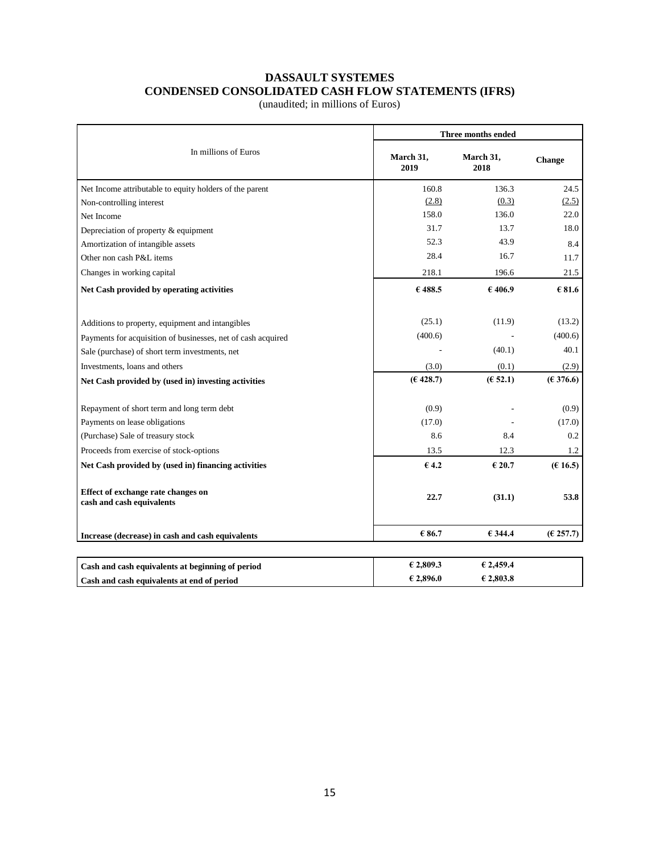# **DASSAULT SYSTEMES CONDENSED CONSOLIDATED CASH FLOW STATEMENTS (IFRS)**

(unaudited; in millions of Euros)

|                                                                 |                   | Three months ended |               |
|-----------------------------------------------------------------|-------------------|--------------------|---------------|
| In millions of Euros                                            | March 31,<br>2019 | March 31,<br>2018  | <b>Change</b> |
| Net Income attributable to equity holders of the parent         | 160.8             | 136.3              | 24.5          |
| Non-controlling interest                                        | (2.8)             | (0.3)              | (2.5)         |
| Net Income                                                      | 158.0             | 136.0              | 22.0          |
| Depreciation of property & equipment                            | 31.7              | 13.7               | 18.0          |
| Amortization of intangible assets                               | 52.3              | 43.9               | 8.4           |
| Other non cash P&L items                                        | 28.4              | 16.7               | 11.7          |
| Changes in working capital                                      | 218.1             | 196.6              | 21.5          |
| Net Cash provided by operating activities                       | €488.5            | €406.9             | €81.6         |
| Additions to property, equipment and intangibles                | (25.1)            | (11.9)             | (13.2)        |
| Payments for acquisition of businesses, net of cash acquired    | (400.6)           |                    | (400.6)       |
| Sale (purchase) of short term investments, net                  |                   | (40.1)             | 40.1          |
| Investments, loans and others                                   | (3.0)             | (0.1)              | (2.9)         |
| Net Cash provided by (used in) investing activities             | (E 428.7)         | (E 52.1)           | (E376.6)      |
| Repayment of short term and long term debt                      | (0.9)             |                    | (0.9)         |
| Payments on lease obligations                                   | (17.0)            |                    | (17.0)        |
| (Purchase) Sale of treasury stock                               | 8.6               | 8.4                | 0.2           |
| Proceeds from exercise of stock-options                         | 13.5              | 12.3               | 1.2           |
| Net Cash provided by (used in) financing activities             | 64.2              | €20.7              | (E16.5)       |
| Effect of exchange rate changes on<br>cash and cash equivalents | 22.7              | (31.1)             | 53.8          |
| Increase (decrease) in cash and cash equivalents                | €86.7             | € 344.4            | (E257.7)      |
| Cash and cash equivalents at beginning of period                | € 2,809.3         | € 2,459.4          |               |
| Cash and cash equivalents at end of period                      | € 2,896.0         | 62,803.8           |               |